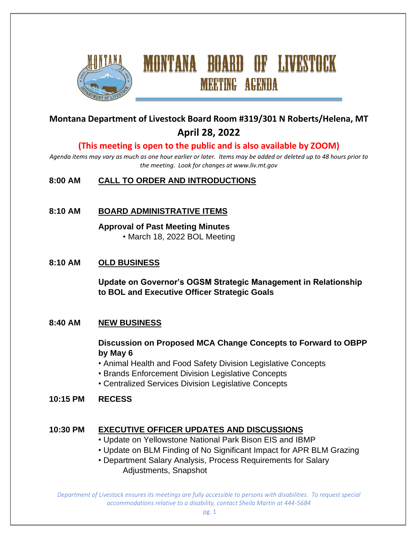

# **Montana Department of Livestock Board Room #319/301 N Roberts/Helena, MT April 28, 2022**

**MEETING AGENDA** 

# **(This meeting is open to the public and is also available by ZOOM)**

*Agenda items may vary as much as one hour earlier or later. Items may be added or deleted up to 48 hours prior to the meeting. Look for changes at www.liv.mt.gov*

#### **8:00 AM CALL TO ORDER AND INTRODUCTIONS**

#### **8:10 AM BOARD ADMINISTRATIVE ITEMS**

# **Approval of Past Meeting Minutes**

• March 18, 2022 BOL Meeting

#### **8:10 AM OLD BUSINESS**

**Update on Governor's OGSM Strategic Management in Relationship to BOL and Executive Officer Strategic Goals**

#### **8:40 AM NEW BUSINESS**

#### **Discussion on Proposed MCA Change Concepts to Forward to OBPP by May 6**

- Animal Health and Food Safety Division Legislative Concepts
- Brands Enforcement Division Legislative Concepts
- Centralized Services Division Legislative Concepts

#### **10:15 PM RECESS**

#### **10:30 PM EXECUTIVE OFFICER UPDATES AND DISCUSSIONS**

- Update on Yellowstone National Park Bison EIS and IBMP
- Update on BLM Finding of No Significant Impact for APR BLM Grazing
- Department Salary Analysis, Process Requirements for Salary Adjustments, Snapshot

*Department of Livestock ensures its meetings are fully accessible to persons with disabilities. To request special accommodations relative to a disability, contact Sheila Martin at 444-5684*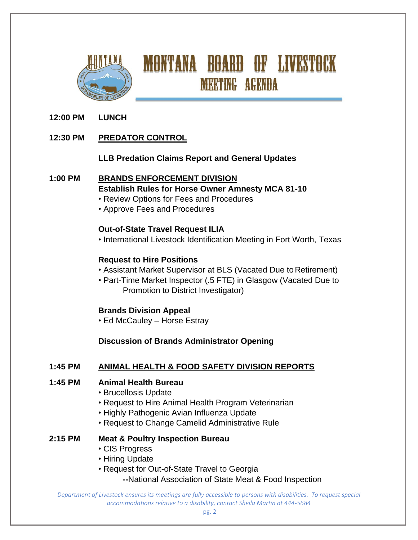

# **MONTANA BOARD OF LIVESTOCK MEETING AGENDA**

# **12:00 PM LUNCH**

# **12:30 PM PREDATOR CONTROL**

#### **LLB Predation Claims Report and General Updates**

#### **1:00 PM BRANDS ENFORCEMENT DIVISION**

- **Establish Rules for Horse Owner Amnesty MCA 81-10**
- Review Options for Fees and Procedures
- Approve Fees and Procedures

#### **Out-of-State Travel Request ILIA**

• International Livestock Identification Meeting in Fort Worth, Texas

#### **Request to Hire Positions**

- Assistant Market Supervisor at BLS (Vacated Due to Retirement)
- Part-Time Market Inspector (.5 FTE) in Glasgow (Vacated Due to Promotion to District Investigator)

# **Brands Division Appeal**

• Ed McCauley – Horse Estray

# **Discussion of Brands Administrator Opening**

# **1:45 PM ANIMAL HEALTH & FOOD SAFETY DIVISION REPORTS**

# **1:45 PM Animal Health Bureau**

- Brucellosis Update
- Request to Hire Animal Health Program Veterinarian
- Highly Pathogenic Avian Influenza Update
- Request to Change Camelid Administrative Rule

#### **2:15 PM Meat & Poultry Inspection Bureau**

- CIS Progress
- Hiring Update
- Request for Out-of-State Travel to Georgia
	- **--**National Association of State Meat & Food Inspection

*Department of Livestock ensures its meetings are fully accessible to persons with disabilities. To request special accommodations relative to a disability, contact Sheila Martin at 444-5684*